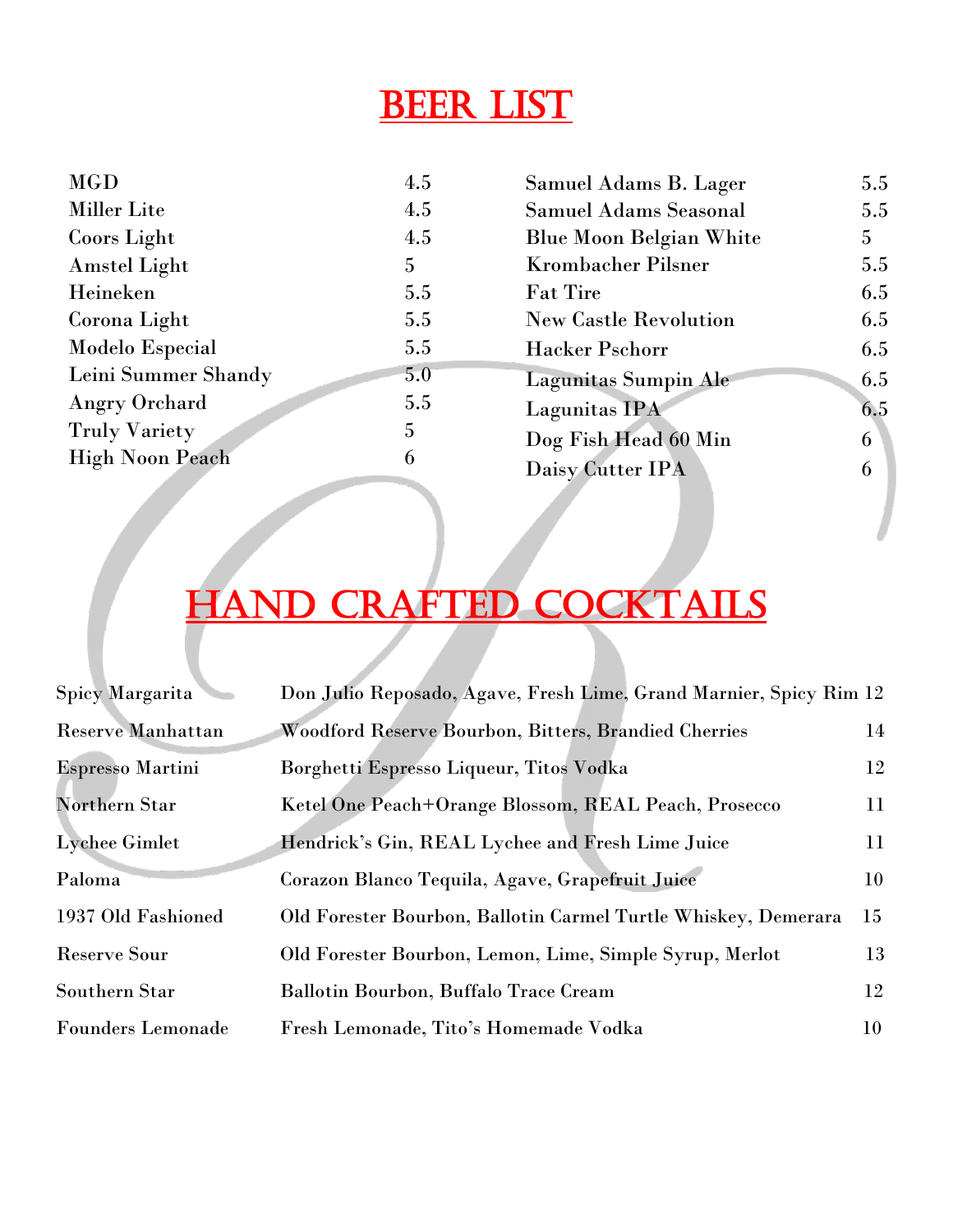# Beer List

| <b>MGD</b>             | 4.5 | Samuel Adams B. Lager          | 5.5 |
|------------------------|-----|--------------------------------|-----|
| <b>Miller Lite</b>     | 4.5 | <b>Samuel Adams Seasonal</b>   | 5.5 |
| Coors Light            | 4.5 | <b>Blue Moon Belgian White</b> | 5   |
| <b>Amstel Light</b>    | 5   | <b>Krombacher Pilsner</b>      | 5.5 |
| Heineken               | 5.5 | <b>Fat Tire</b>                | 6.5 |
| Corona Light           | 5.5 | <b>New Castle Revolution</b>   | 6.5 |
| <b>Modelo Especial</b> | 5.5 | <b>Hacker Pschorr</b>          | 6.5 |
| Leini Summer Shandy    | 5.0 | <b>Lagunitas Sumpin Ale</b>    | 6.5 |
| <b>Angry Orchard</b>   | 5.5 | Lagunitas IPA                  | 6.5 |
| <b>Truly Variety</b>   | 5   | Dog Fish Head 60 Min           | 6   |
| <b>High Noon Peach</b> | 6   | Daisy Cutter IPA               | 6   |
|                        |     |                                |     |

# HAND CRAFTED COCKTAILS

| Spicy Margarita          | Don Julio Reposado, Agave, Fresh Lime, Grand Marnier, Spicy Rim 12 |    |
|--------------------------|--------------------------------------------------------------------|----|
| <b>Reserve Manhattan</b> | Woodford Reserve Bourbon, Bitters, Brandied Cherries               | 14 |
| <b>Espresso Martini</b>  | Borghetti Espresso Liqueur, Titos Vodka                            | 12 |
| <b>Northern Star</b>     | Ketel One Peach+Orange Blossom, REAL Peach, Prosecco               | 11 |
| Lychee Gimlet            | Hendrick's Gin, REAL Lychee and Fresh Lime Juice                   | 11 |
| Paloma                   | Corazon Blanco Tequila, Agave, Grapefruit Juice                    | 10 |
| 1937 Old Fashioned       | Old Forester Bourbon, Ballotin Carmel Turtle Whiskey, Demerara     | 15 |
| <b>Reserve Sour</b>      | Old Forester Bourbon, Lemon, Lime, Simple Syrup, Merlot            | 13 |
| Southern Star            | Ballotin Bourbon, Buffalo Trace Cream                              | 12 |
| <b>Founders Lemonade</b> | Fresh Lemonade, Tito's Homemade Vodka                              | 10 |